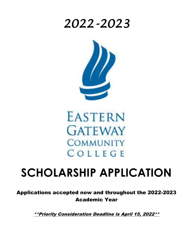## *2022-2023*





# **SCHOLARSHIP APPLICATION**

Applications accepted now and throughout the 2022-2023 Academic Year

\*\*Priority Consideration Deadline is April 15, 2022\*\*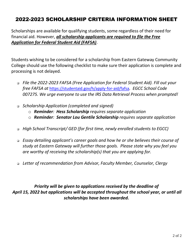## 2022-2023 SCHOLARSHIP CRITERIA INFORMATION SHEET

Scholarships are available for qualifying students, some regardless of their need for financial aid. However, *all scholarship applicants are required to file the Free Application for Federal Student Aid (FAFSA)*.

Students wishing to be considered for a scholarship from Eastern Gateway Community College should use the following checklist to make sure their application is complete and processing is not delayed.

- ❑ *File the 2022-2023 FAFSA (Free Application for Federal Student Aid). Fill out your free FAFSA at* <https://studentaid.gov/h/apply-for-aid/fafsa>*. EGCC School Code 007275. We urge everyone to use the IRS Data Retrieval Process when prompted!*
- ❑ *Scholarship Application (completed and signed)*
	- o *Reminder: Hess Scholarship requires separate application*
	- o *Reminder: Senator Lou Gentile Scholarship requires separate application*
- ❑ *High School Transcript/ GED (for first time, newly enrolled students to EGCC)*
- ❑ *Essay detailing applicant's career goals and how he or she believes their course of study at Eastern Gateway will further those goals. Please state why you feel you are worthy of receiving the scholarship(s) that you are applying for.*
- ❑ *Letter of recommendation from Advisor, Faculty Member, Counselor, Clergy*

*Priority will be given to applications received by the deadline of April 15, 2022 but applications will be accepted throughout the school year, or until all scholarships have been awarded.*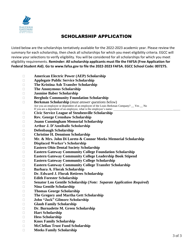

### SCHOLARSHIP APPLICATION

Listed below are the scholarships tentatively available for the 2022-2023 academic year. Please review the summary for each scholarship, then check all scholarships for which you meet eligibility criteria. EGCC will review your selections to verify eligibility. You will be considered for all scholarships for which you meet eligibility requirements. **Reminder: All scholarship applicants must file the FAFSA (Free Application for Federal Student Aid). Go to [www.fafsa.gov](http://www.fafsa.gov/) to file the 2022-2023 FAFSA. EGCC School Code: 007275.**

- **American Electric Power (AEP) Scholarship**
- **Applegate Public Service Scholarship**
- **The Kristina Ash Transfer Scholarship**
- **The Anonymous Scholarship**
- **Jasmine Baber Scholarship**
- **Bergholz Community Foundation Scholarship**
- **Berkman Scholarship** (*must answer questions below*) Are you an employee or dependent of an employee of the Louis Berkman Company? \_\_ Yes \_\_ No If you are a dependent of an employee, what is the employee's name:
- **Civic Service League of Steubenville Scholarship**
- **Rev. George Crenshaw Scholarship**
- **Joann Cunningham Memorial Scholarship**
- **Arthur J. D'Anniballe Scholarship**
- **Defenbaugh Scholarship**
- **Christine H. Dennison Scholarship**
- **Mr. & Mrs. John Di Loreto & Connor Meeks Memorial Scholarship**
- **Displaced Worker's Scholarship**
- **Eastern Ohio Dental Society Scholarship**
- **Eastern Gateway Community College Foundation Scholarship**
- **Eastern Gateway Community College Leadership Book Stipend**
- **Eastern Gateway Community College Scholarship**
- **Eastern Gateway Community College Transfer Scholarship**
- **Barbara A. Florak Scholarship**
- **Dr. Edward J. Florak Retirees Scholarship**
- **Edith Forester Scholarship**
- **Senator Lou Gentile Scholarship (***Note: Separate Application Required***)**
- **Nina Gentile Scholarship**
- **Thomas George Scholarship**
- **The Gregory and Martha Gett Scholarship**
- **John "Jack" Gilmore Scholarship**
- **Glaub Family Scholarship**
- **Dr. Burnadette M. Green Scholarship**
- **Hart Scholarship**
- **Hess Scholarship**
- **Knox Family Scholarship**
- **McClellan Trust Fund Scholarship**
- **Meeks Family Scholarship**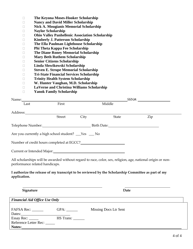- **The Keyona Moses-Hooker Scholarship**
- **Nancy and David Miller Scholarship**
- **Nick A. Mougianis Memorial Scholarship**
- **Naylor Scholarship**
- **Ohio Valley Panhellenic Association Scholarship**
- **Kimberly J. Patterson Scholarship**
- **The Ella Paulman Lighthouse Scholarship**
- **Phi Theta Kappa Fee Scholarship**
- **The Diane Roney Memorial Scholarship**
- **Mary Beth Ruthem Scholarship**
- **Senior Citizens Scholarship**
- **Linda Slowikowski Scholarship**
- **Steven E. Strupe Memorial Scholarship**
- **Tri-State Financial Services Scholarship**
- **Trinity Health System Scholarship**
- **W. Hunter Vaughan, M.D. Scholarship**
- **LaVerne and Christina Williams Scholarship**
- **Yanok Family Scholarship**

| Name: Name and the state of the state of the state of the state of the state of the state of the state of the state of the state of the state of the state of the state of the state of the state of the state of the state of |        |      | SSN#:                                                                                              |                                                                                                             |  |  |
|--------------------------------------------------------------------------------------------------------------------------------------------------------------------------------------------------------------------------------|--------|------|----------------------------------------------------------------------------------------------------|-------------------------------------------------------------------------------------------------------------|--|--|
| Last                                                                                                                                                                                                                           | First  |      | Middle                                                                                             |                                                                                                             |  |  |
| Address:                                                                                                                                                                                                                       |        |      |                                                                                                    |                                                                                                             |  |  |
|                                                                                                                                                                                                                                | Street | City | <b>State</b>                                                                                       | Zip                                                                                                         |  |  |
|                                                                                                                                                                                                                                |        |      | Telephone Number: Electronic Birth Date: Electronic Birth Date:                                    |                                                                                                             |  |  |
| Are you currently a high school student? The State State State State State State State State State St                                                                                                                          |        |      |                                                                                                    |                                                                                                             |  |  |
| Number of credit hours completed at EGCC?<br><u>Letting</u>                                                                                                                                                                    |        |      |                                                                                                    |                                                                                                             |  |  |
| Current or Intended Major: National American Secretary Andrews Current or Intended Major:                                                                                                                                      |        |      |                                                                                                    |                                                                                                             |  |  |
| performance related handicaps.                                                                                                                                                                                                 |        |      |                                                                                                    | All scholarships will be awarded without regard to race, color, sex, religion, age, national origin or non- |  |  |
| application.                                                                                                                                                                                                                   |        |      | I authorize the release of my transcript to be reviewed by the Scholarship Committee as part of my |                                                                                                             |  |  |
|                                                                                                                                                                                                                                |        |      |                                                                                                    |                                                                                                             |  |  |
| Signature                                                                                                                                                                                                                      |        |      | Date                                                                                               |                                                                                                             |  |  |

| <b>Financial Aid Office Use Only</b> |           |                       |  |  |
|--------------------------------------|-----------|-----------------------|--|--|
| FAFSA Rec: _______                   |           | Missing Docs Ltr Sent |  |  |
| Dates:                               |           |                       |  |  |
| Essay Rec: $\_\_\_\_\_\_\_\_\$       | HS Trans: |                       |  |  |
| Reference Letter Rec:                |           |                       |  |  |
| Notes:                               |           |                       |  |  |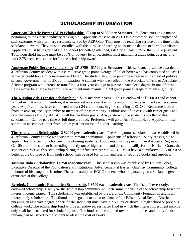#### SCHOLARSHIP INFORMATION

**American Electric Power (AEP) Scholarship:** (**2) up to \$1500 per Semester** –Students pursuing a major pertaining to the electric industry are eligible. Applicants must be an AEP Ohio customer, son, or daughter of such customer with a primary residence served by AEP Ohio. They must be receiving service at the time of the scholarship award. They must be enrolled with the purpose of earning an associate degree or formal certificate. Applicants must have attained a high school (or college attended) GPA of at least 2.75 or the GED equivalent. Total household income must be 200% of poverty level. Recipient must maintain a grade point average of at least 2.75 each semester or forfeit the scholarship award.

**Applegate Public Service Scholarship:** (**2) \$750 - \$1500 per Semester** - This scholarship will be awarded to a Jefferson County resident with a cumulative grade point average of 3.0 or better who has completed at least 12 semester credit hours of coursework at EGCC. The student should be pursuing a degree in the field of political science, government or public administration. A student who is enrolled in the Associate of Arts or Associate of Science program who intends to transfer to a four-year college to pursue a bachelor's degree in one of these fields would be eligible to apply. The recipient must maintain a 3.0 grade point average to retain eligibility.

**The Kristina Ash Transfer Scholarship: 1 \$250 academic year** – This is endowed at \$5000.00 and cannot fall below that amount, therefore, it is an interest only award with the amount to be determined each academic year. Applicant must have completed at least 24 credit hours in good standing at EGCC. Recommendation from an advisor, faculty member or member of the community. Submission of an essay with career goals and how the course of study at EGCC will further those goals. Also, state why the student is worthy of this scholarship. Can be part-time or full time enrolled. Preference will go to Ash Family Heir. Applicant must submit an acceptance letter from a four-year institution of higher-learning.

**The Anonymous Scholarship**: **2 \$2000 per academic year** - The Anonymous scholarship was established by a Jefferson County couple who wishes to remain anonymous. Applicants of Jefferson County are eligible to apply. This scholarship is for new or continuing students. Applicants must be pursuing an Associate Degree or Certificate. If the student is attending directly out of high school and does not qualify for the Horizon Grant, the student can receive this scholarship during their first semester at EGCC. Must have a cumulative GPA of 2.0 or better at the College or from high school. Can be used for tuition and fees or required books and supplies.

**Jasmine Baber Scholarship 1 \$250 academic year** – This scholarship was established by Dr. Jim Baber, Executive Director of the Foundation and Institutional Advancement at Eastern Gateway Community College, in honor of his daughter, Jasmine. The scholarship for EGCC students who are pursuing an associate degree or certificate at the College.

**Bergholz Community Foundation Scholarship**: **1 \$500 each academic year**. This is an interest only, endowed scholarship. Each year the scholarship committee will determine the value of the scholarship based on interest income earned. This scholarship was established by the Bergholz Community Foundation and is an interest only scholarship. The foundation's goal is to assist residents of the Edison Local School District pursuing an associate degree or certificate. Recipient must have a 2.5 GPA or above in high school or previous college work. The scholarship fund will be an endowed, restricted fund in which the interest investment income only shall be distributed for scholarship use. The funds can be applied toward tuition, fees and if any funds remain, can be issued to the student to offset the cost of books.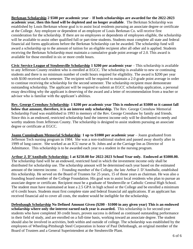**Berkman Scholarship 2 \$500 per academic year** – **If both scholarships are awarded for the 2022-2023 academic year, then this fund will be depleted and no longer available**. The Berkman Scholarship was established by Louis Berkman whose goal is to assist local residents pursuing an associate degree or certificate at the College. Any employee or dependent of an employee of Louis Berkman Co. will receive first consideration for the scholarship. If there are no employees or dependents of employees eligible, the scholarship will be available to assist other qualified full or part-time students. Students must complete all state and federal financial aid forms applications before the Berkman Scholarship can be awarded. The scholarship fund will award a scholarship up to the amount of tuition for an eligible recipient after all other aid is applied. Students receiving the Berkman Scholarship must maintain a cumulative grade point average of 2.0. This award is available for those enrolled in six or more credit hours.

**Civic Service League of Steubenville Scholarship 1 \$200 per academic year** – This scholarship is available to any Jefferson County resident who is enrolled at EGCC. The scholarship is available to new or continuing students and there is no minimum number of credit hours required for eligibility. The award is \$200 per year with \$100 received each semester. The recipient will be required to maintain a 2.0 grade point average in order to continue receiving the scholarship for the second semester. The scholarship recipient must demonstrate outstanding scholarship. The applicant will be required to submit an EGCC scholarship application, a personal essay describing why the applicant is deserving of the award and a letter of recommendation from a teacher or advisor who is familiar with the applicant's abilities.

**Rev. George Crenshaw Scholarship**: **1 \$200 per academic year This is endowed at \$5000 so it cannot fall below that amount, therefore, it is an interest only scholarship.** The Rev. George Crenshaw Memorial Scholarship Fund was established in 1993 in memory of the Rev. George Crenshaw by family and friends. Since this is an endowed, restricted scholarship fund the interest income only will be distributed to needy and worthy students from Jefferson County. The scholarship is designed to assist students pursuing an associate degree or certificate at EGCC.

**Joann Cunningham Memorial Scholarship**: **1 up to \$1000 per academic year** – Joann graduated from Jefferson Tech nursing program in 1984. She was a non-traditional student and passed away shortly after in 1999 of lung cancer. She worked as an ICU nurse at St. Johns and at the Carriage Inn as Director of Admittance. This scholarship is to be awarded each year to a student in the nursing program.

**Arthur J. D'Anniballe Scholarship: 1 at \$250.00 for 2022-2023 School Year only. Endowed at \$5000.00.** The scholarship fund will be an endowed, restricted fund in which the investment income only shall be distributed for scholarship use. The scholarship amount will be determined each year based on the estimated amount of the interest income. – Founding member of the College, the late Arthur J. D'Anniballe, established this scholarship. He served on the Board of Trustees for 25 years, 15 of those years as chairman. He was also a founding board member of the College Foundation. His goal was to assist local residents who plan to pursue an associate degree or certificate. Recipient must be a graduate of Steubenville or Catholic Central High School. The student must have maintained at least a 2.5 GPA in high school or the College and be enrolled a minimum of 6 credit hours. Students must first complete state and federal financial aid applications. If an applicant has received financial aid to cover all costs, the student would be ineligible for the scholarship.

**Defenbaugh Scholarship No Defined Amount Given (\$200 - \$1000 in any given year) This is an endowed scholarship where only the interest earned each year is awarded.** This scholarship is for second-year students who have completed 30 credit hours, proven success is defined as continued outstanding performance in their field of study, and are enrolled on a full-time basis, working toward an associate degree. The student should also be involved in activities, both within and outside of college. The scholarship was established by the employees of Wheeling-Pittsburgh Steel Corporation in honor of Paul Defenbaugh, an original member of the Board of Trustees and a General Superintendent at the Steubenville Plant.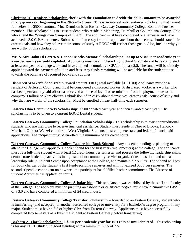**Christine H. Dennison Scholarship check with the Foundation to decide the dollar amount to be awarded in any given year beginning in the 2022-2023 year**. This is an interest only, endowed scholarship that cannot fall below the \$5000 amount. Mrs. Dennison is an Eastern Gateway Community College Board of Trustees member. This scholarship is to assist students who reside in Mahoning, Trumbull or Columbiana County, Ohio who attend the Youngstown Campus of EGCC. The applicant must have completed one semester and have achieved a 3.0 G.P.A. or better. Submission of an essay from the applicate about themselves, should state their career goals and how they believe their course of study at EGCC will further those goals. Also, include why you are worthy of this scholarship.

**Mr. & Mrs. John Di Loreto & Connor Meeks Memorial Scholarship: 1 at up to \$1000 per academic year awarded each year until depleted.** Applicants must be an Edison High School Graduate and have completed at least one year of college work and have attained a cumulative GPA of at least 2.5. The funds will be directly applied toward the payment of tuition and fees. Any funds remaining will be available for the student to use towards the purchase of required books and supplies.

**Displaced Worker's Scholarship** Award amount **TBD** (Total available \$1620.00) Applicants must be a resident of Jefferson County and must be considered a displaced worker. A displaced worker is a worker who has been permanently laid off or has received a notice of layoff or termination from employment due to the company's failure or plant closure. Submission of an essay about themselves, career goals, course of study and why they are worthy of the scholarship. Must be enrolled at least half-time each semester.

**Eastern Ohio Dental Society Scholarship:** \$500 donated each year and then awarded each year. The scholarship is to be given to a current EGCC Dental student.

**Eastern Gateway Community College Foundation Scholarship** - This scholarship is to assist nontraditional students who are ineligible to receive financial assistance. Student must reside in Ohio or Brooke, Hancock, Marshall, Ohio or Wetzel counties in West Virginia. Students must complete state and federal financial aid applications. The recipient must be enrolled in a minimum of six credit hours.

**Eastern Gateway Community College Leadership Book Stipend** - Any student attending or planning to attend the College may apply for a book stipend for the first year (two semesters) at the college. The applicants must be a full-time student with at least 12 credit hours per semester and possess the following leadership skills: demonstrate leadership activities in high school or community service organizations, must join and take a leadership role in Student Senate upon acceptance at the College, and maintain a 2.5 GPA. The stipend will pay for book charges of the student's first fund-receiving semester and will not exceed \$500 per semester. The second stipend is contingent on how well the participant has fulfilled his/her commitment. The Director of Student Activities has application forms.

**Eastern Gateway Community College Scholarship** - This scholarship was established by the staff and faculty at the College. The recipient must be pursuing an associate or certificate degree, must have a cumulative GPA of a 3.0 and have completed a minimum of 24 credit hours.

**Eastern Gateway Community College Transfer Scholarship** – Awarded to an Eastern Gateway student who is transferring (and accepted) to another accredited college or university for a bachelor's degree program of any major. Student must have a 3.0 or higher GPA from Eastern Gateway. Applicants must have successfully completed two semesters as a full-time student at Eastern Gateway before transferring.

**Barbara A. Florak Scholarship: 1 \$500 per academic year for 10 Years or until depleted**. This scholarship is for any EGCC student in good standing with a minimum GPA of 2.5.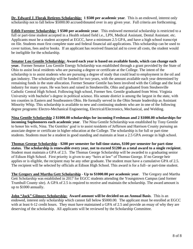**Dr. Edward J. Florak Retirees Scholarship: 1 \$500 per academic year**. This is an endowed, interest only scholarship not to fall below \$5000.00 accrued/donated over in any given year. Full criteria are forthcoming.

**Edith Forester Scholarship: 1 \$500 per academic year**. This endowed memorial scholarship is restricted to a full or part-time student accepted in a Health related field i.e., LPN, Medical Assistant, Dental Assistant. etc. Applicants must be a student accepted at EGCC, have a minimum 2.5 GPA, and have a high school transcript on file. Students must first complete state and federal financial aid applications. This scholarship can be used to cover tuition, fees and/or books. If an applicant has received financial aid to cover all costs, the student would be ineligible for the scholarship.

**Senator Lou Gentile Scholarship: Award each year is based on available funds, which can change each year.** Former Senator Lou Gentile Energy Scholarship was established through a grant provided by the State of Ohio to assist local residents who are pursuing a degree or certificate at the College. The intent of the scholarship is to assist students who are pursuing a degree of study that could lead to employment in the oil and gas industry. The scholarship will be funded for two years, with the amount available each year determined by remaining funds in the state allocation. Former Senator Gentile has been involved with the College and the local industry for many years. He was born and raised in Steubenville, Ohio and graduated from Steubenville Catholic Central High School. Following high school, Former Sen. Gentile graduated from West. Virginia University with bachelor's degree in political science. His senate district is among the largest in the state, with ten counties in Eastern and Southeastern Ohio. He formally served in the Ohio Senate leadership as Assistant Minority Whip. This scholarship is available to new and continuing students who are in one of the following degree programs: Electro-Mechanical Engineering, Electrical/Electronics, Mechanical, and Welding.

**Nina Gentile Scholarship 2 \$1000.00 scholarships for incoming Freshman and 2 \$1000.00 scholarships for incoming Sophomores each academic year**. The Nina Gentile Scholarship was established by Tony Gentile to honor his wife, Nina. The Gentiles' goal is to assist residents of Jefferson and Harrison County pursuing an associate degree or certificate in higher education at the College. The scholarship is for full or part-time students. Students must be a student in good standing and maintain at least a 2.5 GPA average in high school.

**Thomas George Scholarship** - **\$200 per semester for full time status, \$100 per semester for part-time status. The scholarship is renewable every year, not to exceed \$1200 as a total award to a single recipient**. Student must maintain a GPA of 2.5. The Thomas George Scholarship will be awarded to a graduating senior of Edison High School. First priority is given to any "heirs at law" of Thomas George. If no George heir applies or is eligible, the recipient may be any other graduate. The student must have a cumulative GPA of 2.5. The recipient will be selected by officials at Edison High School. This award is for a full- or part-time student.

**The Gregory and Martha Gett Scholarship** - **Up to \$1000.00 per academic year**. The Gregory and Martha Gett Scholarship was established in 2017 for EGCC students attending the Youngstown Campus (and former Trumbull County site). A GPA of 2.5 is required to receive and maintain the scholarship. The award amount is up to \$1000 annually.

**John "Jack" Gilmore Scholarship: Award amount will be decided on an Annual Basis**. This is an endowed, interest only scholarship which cannot fall below \$5000.00. The applicant must be enrolled at EGCC with at least 6-12 credit hours. They must have maintained a GPA of 2.5 and provide an essay of why they are deserving of the scholarship. All applicants will be reviewed by the Scholarship Committee.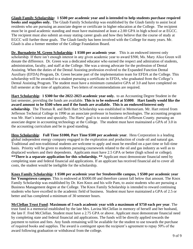**Glaub Family Scholarship: 1 \$500 per academic year and is intended to help students purchase required books and supplies only.** The Glaub Family Scholarship was established by the Glaub family to assist local residents who are pursuing an associate degree or certificate in higher education at the College. The recipient must be in good academic standing and must have maintained at least a 2.00 GPA in high school or at EGCC. The recipient must also submit an essay stating career goals and how they believe that the course of study at EGCC will further those goals. The Glaub family has been involved with the College for many years. Mr. Glaub is also a former member of the College Foundation Board.

**Dr. Burnadette M. Green Scholarship**: **1 \$500 per academic year**. This is an endowed interest only scholarship. If there isn't enough interest in any given academic year to award \$500, Ms. Mary Alice Green will donate the difference. Dr. Green was a dedicated educator who earned the respect and admiration of students, administration, faculty, and staff at the College. She was a strong advocate for the profession of Dental Assisting. When the duties of the Dental Assisting profession evolved to the Expanded Function Dental Auxiliary (EFDA) Program, Dr. Green became part of the implementation team for EFDA at the College. This scholarship will be awarded to a student pursuing a certificate in EFDA, who graduated from the College's Dental Assisting Program. The student must have a minimum cumulative GPA of 3.0 and have completed on full semester at the time of application. Two letters of recommendations are required.

**Hart Scholarship**: **1 \$300 for the 2022-2023 academic year only.** to an Accounting Degree Student in the last semester, providing the funds are available. **This is to be endowed at \$5000**. **Hart family would like the award amount to be \$500 when and if the funds are available. This is an endowed/interest only scholarship**. The Thomas R. and Beth Hart Scholarship was established in Memoriam. Mr. Hart retired from Jefferson Technical College in 1990 as an associate professor in business technologies. The accounting program was Mr. Hart's interest and specialty. The Harts' goal is to assist residents of Jefferson County. pursuing an associate degree in accounting technology at the College. The student must have maintained a GPA of 3.0 in the accounting curriculum and be in good standing.

**Hess Scholarship**: **Full Time \$1000, Part Time \$500 per academic year**. Hess Corporation is a leading global independent energy company engaged in the exploration and production of crude oil and natural gas. Traditional and non-traditional students are welcome to apply and must be enrolled on a part time or full-time basis. Priority will be given to students pursuing coursework related to the oil and gas industry as well as to displaced workers and their dependents. Applicants must have 2.5 GPA or better (high school or college). **\*\*There is a separate application for this scholarship. \*\*** Applicant must demonstrate financial need by completing state and federal financial aid applications. If an applicant has received financial aid to cover all costs, the student would be ineligible for the scholarship.

**Knox Family Scholarship**: **1 \$500 per academic year for Steubenville campus, 1 \$500 per academic year for Youngstown campus**. This is endowed at \$5000.00 and therefore cannot fall below that amount. The Knox Family Scholarship was established by Dr. Ken Knox and his wife Pam, to assist students who are pursuing a Business Management degree at the College. The Knox Family Scholarship is intended to reward continuing students who have excelled in the academic field of business. Student must have maintained a GPA of 2.5 or better and has completed a minimum of 30 semester hours.

**McClellan Trust Fund**: **Maximum of 3 each academic year with a maximum of \$750 each per year**. The trust fund is a memorial established by the late Mrs. Lavina McClellan in memory of herself and her husband, the late F. Fred McClellan. Student must have a 2.75 GPA or above. Applicant must demonstrate financial need by completing state and federal financial aid applications. The funds will be directly applied towards the payment to tuition and fees. Any funds remaining will be available for the student to use towards the purchase of required books and supplies. The award is contingent upon the recipient's agreement to repay 50% of the award following graduation or withdrawal from the college.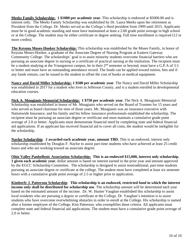**Meeks Family Scholarship: 1 \$1000 per academic year.** This scholarship is endowed at \$5000.00 and is interest only. The Meeks Family Scholarship was established by Dr. Laura Meeks upon her retirement as President from the College. Dr. Meeks served as the College's third president from 1999 until 2015. Applicants must be in good academic standing and must have maintained at least a 2.00 grade point average in high school or at the College. The student may be either certificate or degree seeking. Full time enrollment is required (12 or more credits).

**The Keyona Moses-Hooker Scholarship:** This scholarship was established by the Moses Family, in honor of Keyona Moses-Hooker, a graduate of the Associate Degree of Nursing Program at Eastern Gateway Community College. The scholarships' goal is to assist minority students overcome financial barriers who are pursuing an associate degree in nursing or a certificate of practical nursing at the institution. The recipient must be a student studying at the Youngstown campus, be in their  $2<sup>nd</sup>$  semester or beyond, must have a G.P.A of 3.5 or better and must have an outstanding attendance record. The funds can be applied toward tuition, fees and if any funds remain, can be issued to the student to offset the cost of books or medical equipment.

**Nancy and David Miller Scholarship: 1 \$500 per academic year**. The Nancy and David Miller Scholarship was established in 2017 for a student who lives in Jefferson County, and is a student enrolled in developmental education courses.

**Nick A. Mougianis Memorial Scholarship: 1 \$750 per academic year.** The Nick A. Mougianis Memorial Scholarship was established in honor of Mr. Mougianis who served on the Board of Trustees for 15 years and who served as board chairman for nine of those years. Mr. Mougianis was an insurance executive with Nationwide Insurance, and his family and his fellow insurance professionals established the scholarship. The recipient must be pursuing an associate degree or certificate and must maintain a cumulative grade point average of 2.0 or better. Applicants must demonstrate financial need by completing state and federal financial aid applications. If an applicant has received financial aid to cover all costs, the student would be ineligible for the scholarship.

**Naylor Scholarship**: **2 awarded each academic year, amount TBD.** This is an endowed, interest only scholarship established by Douglas F. Naylor to assist part-time students who have achieved at least 25 credit hours and who are working toward an associate degree.

**Ohio Valley Panhellenic Association Scholarship: This is an endowed \$15,000, interest only scholarship. 1 given each academic year**, dollar amount is based on interest earned in the prior year and amount approved by the EGCC Scholarship Committee. The scholarship is designed to assist nontraditional, part-time students pursuing an associate degree or certificate at the college. The student must have completed at least six semester hours with a cumulative grade point average of 2.5 or higher prior to application.

**Kimberly J. Patterson Scholarship**: **This scholarship is an endowed, restricted fund in which the interest income only shall be distributed for scholarship use**. The scholarship amount will be determined each year based on the estimated amount of the income. Dr. W. Hunter Vaughan established this scholarship to assist local residents who are pursuing a degree or certificate at the College. Dr. Vaughan's intention is to assist students who have overcome overwhelming obstacles in order to enroll at the College. His scholarship is named after a former employee of the College, Kim Patterson, who exemplifies these criteria. All applicants must complete state and federal financial aid applications. The student must have a cumulative grade point average of 2.0 or better.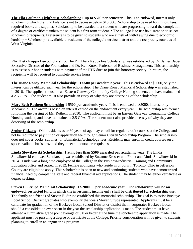**The Ella Paulman Lighthouse Scholarship: 1 up to \$500 per semester**. This is an endowed, interest only scholarship which the fund balance is not to decrease below \$10,000. Scholarship to be used for tuition, fees, required books and supplies. Scholarship to be awarded to a student who are progressing toward the completion of a degree or certificate unless the student is a first term student. • The college is to use its discretion to select scholarship recipients. Preference is to be given to students who are at risk of withdrawing due to economic hardship • Scholarship is available to residents of the college's service district and the reciprocity counties of West Virginia.

**Phi Theta Kappa Fee Scholarship**: The Phi Theta Kappa Fee Scholarship was established by Dr. James Baber, Executive Director of the Foundation and Dr. Ken Knox, Professor of Business Management. This scholarship is to assist our honor students with payment of the PTK dues to join this honorary society. In return, the recipients will be required to complete service hours.

**The Diane Roney Memorial Scholarship: 1 \$500 per academic year**. This is endowed at \$5000, only the interest can be utilized each year for the scholarship. The Diane Roney Memorial Scholarship was established in 2016. The applicant must be an Eastern Gateway Community College Nursing student, and have maintained a 2.5 GPA. The student must also provide an essay of why they are deserving of the scholarship.

**Mary Beth Ruthem Scholarship: 1 \$500 per academic year**. This is endowed at \$5000, interest only scholarship. The award is based on interest earned on the endowment every year. The scholarship was formed following the passing of Ms. Ruthem in 2010. The applicant must be an Eastern Gateway Community College Nursing student, and have maintained a 2.5 GPA. The student must also provide an essay of why they are deserving of the scholarship.

**Senior Citizens** - Ohio residents over 60 years of age may enroll for regular credit courses at the College and not be required to pay tuition or application fee through Senior Citizen Scholarship Program. The scholarship does not cover books, supplies, or lab/material/technology fees. Residents may enroll in credit courses on a space available basis provided they meet all course prerequisites.

**Linda Slowikowski Scholarship: 1 at no less than \$500 awarded per academic year**. The Linda Slowikowski endowed Scholarship was established by Suzanne Kresser and Frank and Linda Slowikowski in 2014. Linda was a long time employee of the College in the Business/Industrial Training and Community Education office and retired in 2012. Female applicants who reside in or born in Toronto, Ohio in Jefferson County are eligible to apply. This scholarship is open to new and continuing students who have demonstrated financial need by completing state and federal financial aid applications. The student may be either certificate or degree seeking.

**Steven E. Strupe Memorial Scholarship**: **1 \$2000.00 per academic year**. **The scholarship will be an endowed, restricted fund in which the investment income only shall be distributed for scholarship use**. The family and friends of Steven E. Strupe established this memorial scholarship. The goal is to assist Buckeye Local School District graduates who exemplify the ideals Steven Strupe represented. Applicants must be a candidate for graduation of the Buckeye Local School District or district that incorporates Buckeye Local should a consolidation ever occur in the year the scholarship application is made. The student must have attained a cumulative grade point average of 3.0 or better at the time the scholarship application is made. The applicant must be pursuing a degree or certificate at the College. Priority consideration will be given to students planning to enroll in an engineering program.